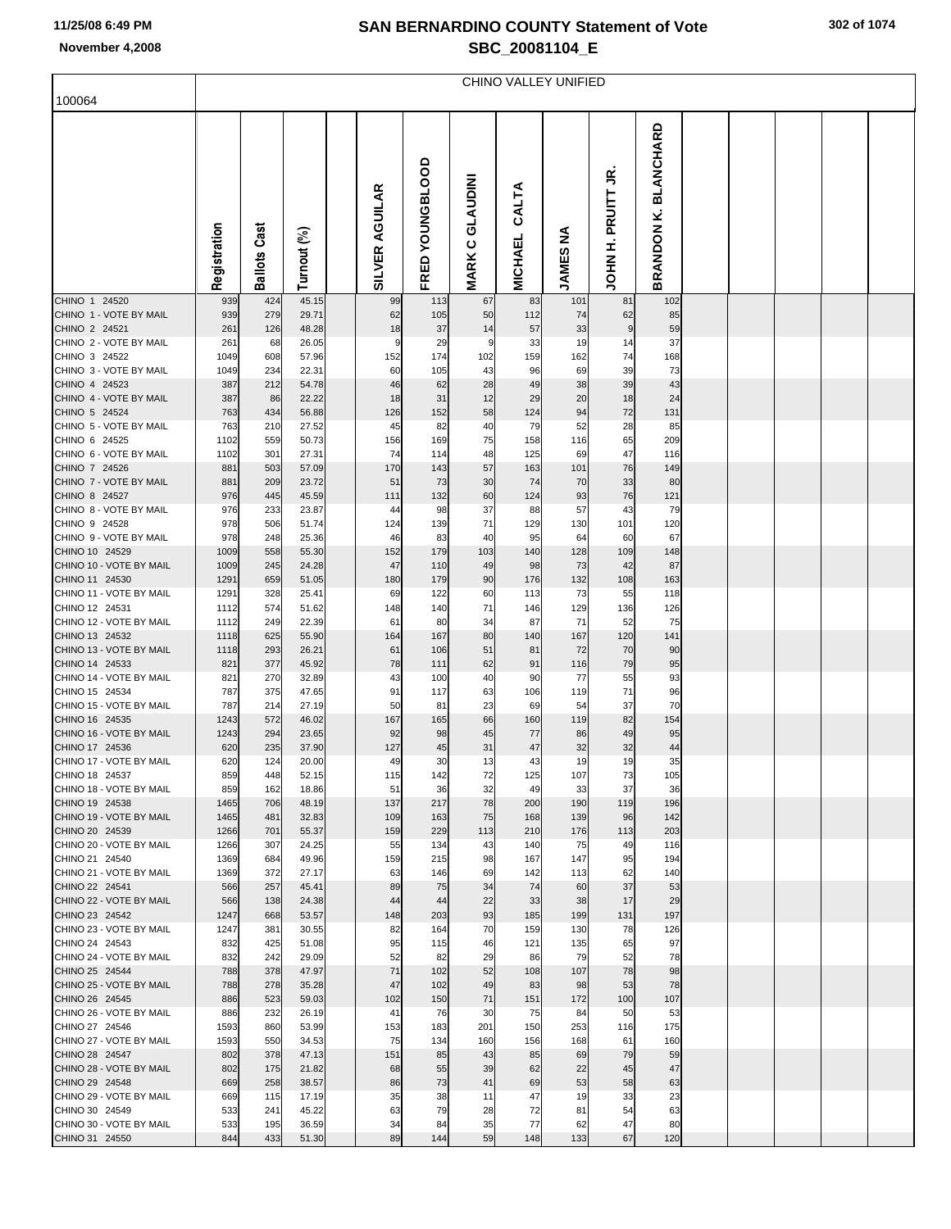|                                           | CHINO VALLEY UNIFIED |                     |                |  |                       |                 |                        |                         |                 |                                    |                                          |  |  |  |  |  |
|-------------------------------------------|----------------------|---------------------|----------------|--|-----------------------|-----------------|------------------------|-------------------------|-----------------|------------------------------------|------------------------------------------|--|--|--|--|--|
| 100064                                    |                      |                     |                |  |                       |                 |                        |                         |                 |                                    |                                          |  |  |  |  |  |
|                                           | Registration         | <b>Ballots Cast</b> | Turnout (%)    |  | <b>SILVER AGUILAR</b> | FRED YOUNGBLOOD | <b>MARK C GLAUDINI</b> | CALTA<br><b>MICHAEL</b> | <b>JAMES NA</b> | S<br><b>PRUITT</b><br><b>HNHOL</b> | <b>BLANCHARD</b><br>×.<br><b>BRANDON</b> |  |  |  |  |  |
| CHINO 1 24520<br>CHINO 1 - VOTE BY MAIL   | 939<br>939           | 424<br>279          | 45.15<br>29.71 |  | 99<br>62              | 113<br>105      | 67<br>50               | 83<br>112               | 101<br>74       | 81<br>62                           | 102<br>85                                |  |  |  |  |  |
| CHINO 2 24521                             | 261                  | 126                 | 48.28          |  | 18                    | 37              | 14                     | 57                      | 33              | 9                                  | 59                                       |  |  |  |  |  |
| CHINO 2 - VOTE BY MAIL                    | 261                  | 68                  | 26.05          |  | g                     | 29              | 9                      | 33                      | 19              | 14                                 | 37                                       |  |  |  |  |  |
| CHINO 3 24522<br>CHINO 3 - VOTE BY MAIL   | 1049<br>1049         | 608<br>234          | 57.96<br>22.31 |  | 152<br>60             | 174<br>105      | 102<br>43              | 159<br>96               | 162<br>69       | 74<br>39                           | 168<br>73                                |  |  |  |  |  |
| CHINO 4 24523                             | 387                  | 212                 | 54.78          |  | 46                    | 62              | 28                     | 49                      | 38              | 39                                 | 43                                       |  |  |  |  |  |
| CHINO 4 - VOTE BY MAIL                    | 387                  | 86                  | 22.22          |  | 18                    | 31              | 12                     | 29                      | 20              | 18                                 | 24                                       |  |  |  |  |  |
| CHINO 5 24524                             | 763                  | 434                 | 56.88          |  | 126                   | 152             | 58                     | 124                     | 94              | 72                                 | 131                                      |  |  |  |  |  |
| CHINO 5 - VOTE BY MAIL                    | 763                  | 210                 | 27.52          |  | 45                    | 82              | 40                     | 79                      | 52              | 28                                 | 85                                       |  |  |  |  |  |
| CHINO 6 24525<br>CHINO 6 - VOTE BY MAIL   | 1102<br>1102         | 559<br>301          | 50.73<br>27.31 |  | 156<br>74             | 169<br>114      | 75<br>48               | 158<br>125              | 116<br>69       | 65<br>47                           | 209<br>116                               |  |  |  |  |  |
| CHINO 7 24526                             | 881                  | 503                 | 57.09          |  | 170                   | 143             | 57                     | 163                     | 101             | 76                                 | 149                                      |  |  |  |  |  |
| CHINO 7 - VOTE BY MAIL                    | 881                  | 209                 | 23.72          |  | 51                    | 73              | 30                     | 74                      | 70              | 33                                 | 80                                       |  |  |  |  |  |
| CHINO 8 24527                             | 976                  | 445                 | 45.59          |  | 111                   | 132             | 60                     | 124                     | 93              | 76                                 | 121                                      |  |  |  |  |  |
| CHINO 8 - VOTE BY MAIL<br>CHINO 9 24528   | 976<br>978           | 233<br>506          | 23.87<br>51.74 |  | 44<br>124             | 98<br>139       | 37<br>71               | 88<br>129               | 57<br>130       | 43<br>101                          | 79<br>120                                |  |  |  |  |  |
| CHINO 9 - VOTE BY MAIL                    | 978                  | 248                 | 25.36          |  | 46                    | 83              | 40                     | 95                      | 64              | 60                                 | 67                                       |  |  |  |  |  |
| CHINO 10 24529                            | 1009                 | 558                 | 55.30          |  | 152                   | 179             | 103                    | 140                     | 128             | 109                                | 148                                      |  |  |  |  |  |
| CHINO 10 - VOTE BY MAIL                   | 1009                 | 245                 | 24.28          |  | 47                    | 110             | 49                     | 98                      | 73              | 42                                 | 87                                       |  |  |  |  |  |
| CHINO 11 24530                            | 1291                 | 659                 | 51.05          |  | 180                   | 179             | 90                     | 176                     | 132             | 108                                | 163                                      |  |  |  |  |  |
| CHINO 11 - VOTE BY MAIL<br>CHINO 12 24531 | 1291<br>1112         | 328<br>574          | 25.41<br>51.62 |  | 69<br>148             | 122<br>140      | 60<br>71               | 113<br>146              | 73<br>129       | 55<br>136                          | 118<br>126                               |  |  |  |  |  |
| CHINO 12 - VOTE BY MAIL                   | 1112                 | 249                 | 22.39          |  | 61                    | 80              | 34                     | 87                      | 71              | 52                                 | 75                                       |  |  |  |  |  |
| CHINO 13 24532                            | 1118                 | 625                 | 55.90          |  | 164                   | 167             | 80                     | 140                     | 167             | 120                                | 141                                      |  |  |  |  |  |
| CHINO 13 - VOTE BY MAIL                   | 1118                 | 293                 | 26.21          |  | 61                    | 106             | 51                     | 81                      | 72              | 70                                 | 90                                       |  |  |  |  |  |
| CHINO 14 24533                            | 821                  | 377                 | 45.92          |  | 78                    | 111             | 62                     | 91                      | 116             | 79                                 | 95                                       |  |  |  |  |  |
| CHINO 14 - VOTE BY MAIL<br>CHINO 15 24534 | 821<br>787           | 270<br>375          | 32.89<br>47.65 |  | 43<br>91              | 100<br>117      | 40<br>63               | 90<br>106               | 77<br>119       | 55<br>71                           | 93<br>96                                 |  |  |  |  |  |
| CHINO 15 - VOTE BY MAIL                   | 787                  | 214                 | 27.19          |  | 50                    | 81              | 23                     | 69                      | 54              | 37                                 | 70                                       |  |  |  |  |  |
| CHINO 16 24535                            | 1243                 | 572                 | 46.02          |  | 167                   | 165             | 66                     | 160                     | 119             | 82                                 | 154                                      |  |  |  |  |  |
| CHINO 16 - VOTE BY MAIL                   | 1243                 | 294                 | 23.65          |  | 92                    | 98              | 45                     | 77                      | 86              | 49                                 | 95                                       |  |  |  |  |  |
| CHINO 17 24536<br>CHINO 17 - VOTE BY MAIL | 620<br>620           | 235<br>124          | 37.90<br>20.00 |  | 127<br>49             | 45<br>30        | 31<br>13               | 47<br>43                | 32<br>19        | 32<br>19                           | 44<br>35                                 |  |  |  |  |  |
| CHINO 18 24537                            | 859                  | 448                 | 52.15          |  | 115                   | 142             | 72                     | 125                     | 107             | 73                                 | 105                                      |  |  |  |  |  |
| CHINO 18 - VOTE BY MAIL                   | 859                  | 162                 | 18.86          |  | 51                    | 36              | 32                     | 49                      | 33              | 37                                 | 36                                       |  |  |  |  |  |
| CHINO 19 24538                            | 1465                 | 706                 | 48.19          |  | 137                   | 217             | 78                     | 200                     | 190             | 119                                | 196                                      |  |  |  |  |  |
| CHINO 19 - VOTE BY MAIL                   | 1465                 | 481                 | 32.83          |  | 109                   | 163             | 75                     | 168                     | 139             | 96                                 | 142                                      |  |  |  |  |  |
| CHINO 20 24539<br>CHINO 20 - VOTE BY MAIL | 1266<br>1266         | 701<br>307          | 55.37<br>24.25 |  | 159<br>55             | 229<br>134      | 113<br>43              | 210<br>140              | 176<br>75       | 113<br>49                          | 203<br>116                               |  |  |  |  |  |
| CHINO 21 24540                            | 1369                 | 684                 | 49.96          |  | 159                   | 215             | 98                     | 167                     | 147             | 95                                 | 194                                      |  |  |  |  |  |
| CHINO 21 - VOTE BY MAIL                   | 1369                 | 372                 | 27.17          |  | 63                    | 146             | 69                     | 142                     | 113             | 62                                 | 140                                      |  |  |  |  |  |
| CHINO 22 24541                            | 566                  | 257                 | 45.41          |  | 89                    | 75              | 34                     | 74                      | 60              | 37                                 | 53                                       |  |  |  |  |  |
| CHINO 22 - VOTE BY MAIL<br>CHINO 23 24542 | 566<br>1247          | 138<br>668          | 24.38<br>53.57 |  | 44<br>148             | 44<br>203       | 22<br>93               | 33<br>185               | 38<br>199       | 17<br>131                          | 29<br>197                                |  |  |  |  |  |
| CHINO 23 - VOTE BY MAIL                   | 1247                 | 381                 | 30.55          |  | 82                    | 164             | 70                     | 159                     | 130             | 78                                 | 126                                      |  |  |  |  |  |
| CHINO 24 24543                            | 832                  | 425                 | 51.08          |  | 95                    | 115             | 46                     | 121                     | 135             | 65                                 | 97                                       |  |  |  |  |  |
| CHINO 24 - VOTE BY MAIL                   | 832                  | 242                 | 29.09          |  | 52                    | 82              | 29                     | 86                      | 79              | 52                                 | 78                                       |  |  |  |  |  |
| CHINO 25 24544                            | 788                  | 378                 | 47.97          |  | 71                    | 102             | 52                     | 108                     | 107             | 78                                 | 98                                       |  |  |  |  |  |
| CHINO 25 - VOTE BY MAIL<br>CHINO 26 24545 | 788<br>886           | 278<br>523          | 35.28<br>59.03 |  | 47<br>102             | 102<br>150      | 49<br>71               | 83<br>151               | 98<br>172       | 53<br>100                          | 78<br>107                                |  |  |  |  |  |
| CHINO 26 - VOTE BY MAIL                   | 886                  | 232                 | 26.19          |  | 41                    | 76              | 30                     | 75                      | 84              | 50                                 | 53                                       |  |  |  |  |  |
| CHINO 27 24546                            | 1593                 | 860                 | 53.99          |  | 153                   | 183             | 201                    | 150                     | 253             | 116                                | 175                                      |  |  |  |  |  |
| CHINO 27 - VOTE BY MAIL                   | 1593                 | 550                 | 34.53          |  | 75                    | 134             | 160                    | 156                     | 168             | 61                                 | 160                                      |  |  |  |  |  |
| CHINO 28 24547                            | 802                  | 378                 | 47.13          |  | 151                   | 85              | 43                     | 85                      | 69              | 79                                 | 59                                       |  |  |  |  |  |
| CHINO 28 - VOTE BY MAIL<br>CHINO 29 24548 | 802<br>669           | 175<br>258          | 21.82<br>38.57 |  | 68<br>86              | 55<br>73        | 39<br>41               | 62<br>69                | 22<br>53        | 45<br>58                           | 47<br>63                                 |  |  |  |  |  |
| CHINO 29 - VOTE BY MAIL                   | 669                  | 115                 | 17.19          |  | 35                    | 38              | 11                     | 47                      | 19              | 33                                 | 23                                       |  |  |  |  |  |
| CHINO 30 24549                            | 533                  | 241                 | 45.22          |  | 63                    | 79              | 28                     | 72                      | 81              | 54                                 | 63                                       |  |  |  |  |  |
| CHINO 30 - VOTE BY MAIL                   | 533                  | 195                 | 36.59          |  | 34                    | 84              | 35                     | 77                      | 62              | 47                                 | 80                                       |  |  |  |  |  |
| CHINO 31 24550                            | 844                  | 433                 | 51.30          |  | 89                    | 144             | 59                     | 148                     | 133             | 67                                 | 120                                      |  |  |  |  |  |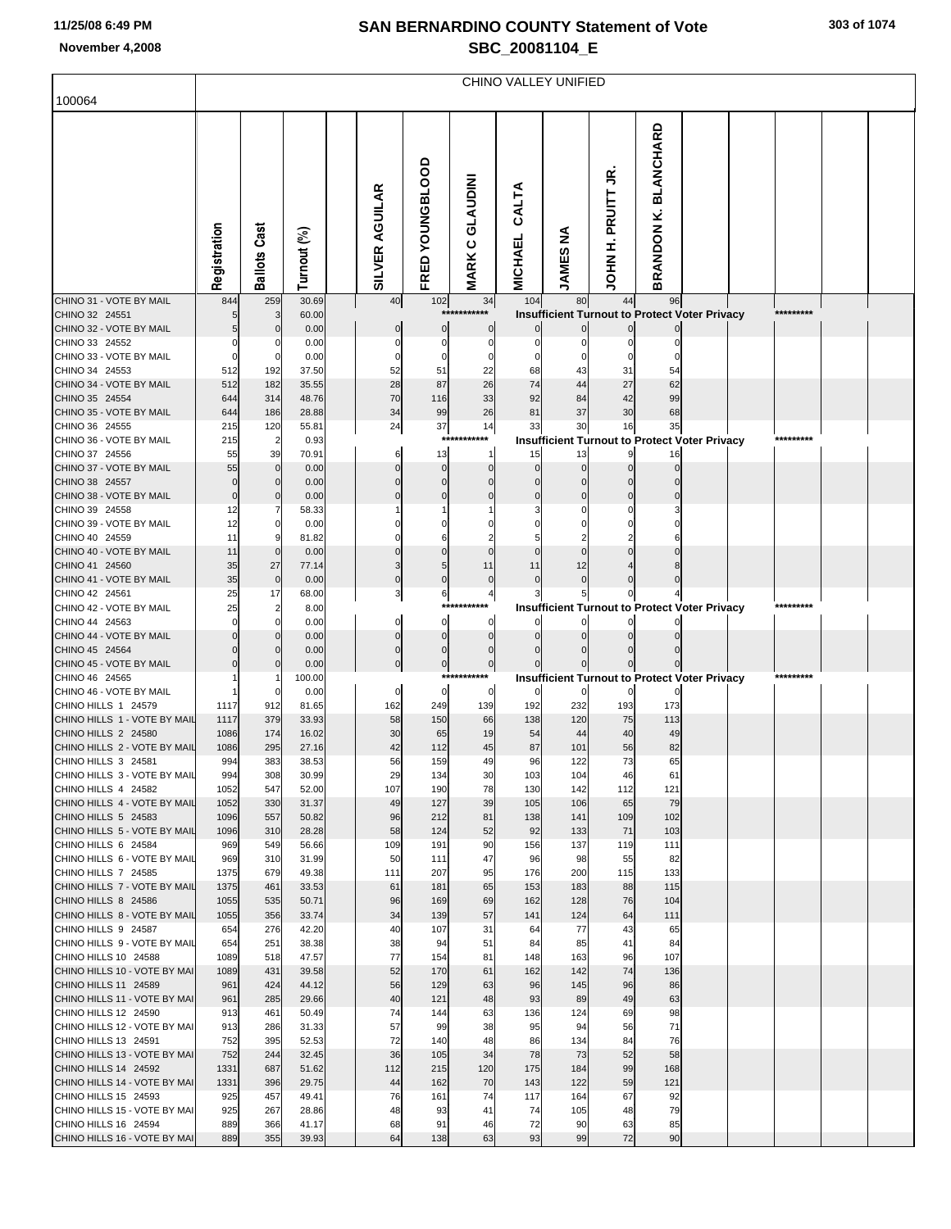|                                                      | CHINO VALLEY UNIFIED |                      |                |  |                       |                 |                                 |                         |                 |                                                           |                                |  |  |           |  |  |
|------------------------------------------------------|----------------------|----------------------|----------------|--|-----------------------|-----------------|---------------------------------|-------------------------|-----------------|-----------------------------------------------------------|--------------------------------|--|--|-----------|--|--|
| 100064                                               |                      |                      |                |  |                       |                 |                                 |                         |                 |                                                           |                                |  |  |           |  |  |
|                                                      | Registration         | <b>Ballots Cast</b>  | Turnout (%)    |  | <b>SILVER AGUILAR</b> | FRED YOUNGBLOOD | <b>GLAUDINI</b><br><b>MARKC</b> | CALTA<br><b>MICHAEL</b> | <b>JAMES NA</b> | š<br>H. PRUITT<br>INHOL                                   | <b>BLANCHARD</b><br>BRANDON K. |  |  |           |  |  |
| CHINO 31 - VOTE BY MAIL                              | 844                  | 259                  | 30.69          |  | 40                    | $102$           | 34                              | 104                     | 80              | 44                                                        | 96                             |  |  |           |  |  |
| CHINO 32 24551<br>CHINO 32 - VOTE BY MAIL            |                      | 3<br>$\Omega$        | 60.00<br>0.00  |  |                       | $***$           | ******<br>0                     |                         |                 | <b>Insufficient Turnout to Protect Voter Privacy</b>      |                                |  |  | ********* |  |  |
| CHINO 33 24552                                       |                      |                      | 0.00           |  |                       |                 | $\Omega$                        |                         |                 |                                                           |                                |  |  |           |  |  |
| CHINO 33 - VOTE BY MAIL                              |                      |                      | 0.00           |  |                       |                 |                                 |                         |                 |                                                           |                                |  |  |           |  |  |
| CHINO 34 24553<br>CHINO 34 - VOTE BY MAIL            | 512<br>512           | 192<br>182           | 37.50<br>35.55 |  | 52<br>28              | 51<br>87        | 22<br>26                        | 68<br>74                | 43<br>44        | 31<br>27                                                  | 54<br>62                       |  |  |           |  |  |
| CHINO 35 24554                                       | 644                  | 314                  | 48.76          |  | 70                    | 116             | 33                              | 92                      | 84              | 42                                                        | 99                             |  |  |           |  |  |
| CHINO 35 - VOTE BY MAIL                              | 644                  | 186                  | 28.88          |  | 34                    | 99              | 26                              | 81                      | 37              | 30                                                        | 68                             |  |  |           |  |  |
| CHINO 36 24555<br>CHINO 36 - VOTE BY MAIL            | 215                  | 120                  | 55.81          |  | 24                    | 37<br>***       | 14<br>******                    | 33                      | 30              | 16                                                        | 35                             |  |  | ********* |  |  |
| CHINO 37 24556                                       | 215<br>55            | $\overline{2}$<br>39 | 0.93<br>70.91  |  | 6                     | 13              | 1                               | 15                      | 13              | <b>Insufficient Turnout to Protect Voter Privacy</b><br>9 | 16                             |  |  |           |  |  |
| CHINO 37 - VOTE BY MAIL                              | 55                   | $\mathbf 0$          | 0.00           |  |                       | $\Omega$        |                                 |                         |                 |                                                           |                                |  |  |           |  |  |
| CHINO 38 24557                                       |                      |                      | 0.00           |  |                       |                 |                                 |                         |                 |                                                           |                                |  |  |           |  |  |
| CHINO 38 - VOTE BY MAIL<br>CHINO 39 24558            | $\Omega$<br>12       |                      | 0.00<br>58.33  |  |                       | $\Omega$        |                                 |                         |                 |                                                           |                                |  |  |           |  |  |
| CHINO 39 - VOTE BY MAIL                              | 12                   |                      | 0.00           |  |                       |                 |                                 |                         |                 |                                                           |                                |  |  |           |  |  |
| CHINO 40 24559                                       | 11                   |                      | 81.82          |  |                       |                 |                                 |                         |                 |                                                           |                                |  |  |           |  |  |
| CHINO 40 - VOTE BY MAIL<br>CHINO 41 24560            | 11                   | $\Omega$             | 0.00           |  |                       | 5               |                                 |                         |                 |                                                           |                                |  |  |           |  |  |
| CHINO 41 - VOTE BY MAIL                              | 35<br>35             | 27<br>$\mathbf 0$    | 77.14<br>0.00  |  | 3<br>0                | 0               | 11<br>$\mathbf 0$               | 11                      | 12              |                                                           |                                |  |  |           |  |  |
| CHINO 42 24561                                       | 25                   | 17                   | 68.00          |  | 3                     | 6               | 4                               |                         |                 |                                                           |                                |  |  |           |  |  |
| CHINO 42 - VOTE BY MAIL                              | 25                   | $\overline{2}$       | 8.00           |  |                       |                 | ***                             |                         |                 | <b>Insufficient Turnout to Protect Voter Privacy</b>      |                                |  |  | ********* |  |  |
| CHINO 44 24563<br>CHINO 44 - VOTE BY MAIL            |                      |                      | 0.00<br>0.00   |  | 0                     | 0<br>$\Omega$   | 0<br>$\Omega$                   |                         |                 |                                                           |                                |  |  |           |  |  |
| CHINO 45 24564                                       |                      |                      | 0.00           |  | $\Omega$              | 0               | 0                               |                         |                 |                                                           |                                |  |  |           |  |  |
| CHINO 45 - VOTE BY MAIL                              |                      |                      | 0.00           |  | 0                     | $\pmb{0}$       | $\overline{0}$                  |                         |                 |                                                           |                                |  |  |           |  |  |
| CHINO 46 24565<br>CHINO 46 - VOTE BY MAIL            |                      |                      | 100.00         |  |                       | $\mathbf 0$     | ***********                     |                         | $\mathbf{0}$    | <b>Insufficient Turnout to Protect Voter Privacy</b>      |                                |  |  | ********* |  |  |
| CHINO HILLS 1 24579                                  | 1117                 | 912                  | 0.00<br>81.65  |  | 0<br>162              | 249             | 0<br>139                        | 192                     | 232             | $\mathbf{0}$<br>193                                       | 173                            |  |  |           |  |  |
| CHINO HILLS 1 - VOTE BY MAIL                         | 1117                 | 379                  | 33.93          |  | 58                    | 150             | 66                              | 138                     | 120             | 75                                                        | 113                            |  |  |           |  |  |
| CHINO HILLS 2 24580                                  | 1086                 | 174                  | 16.02          |  | 30                    | 65              | 19                              | 54                      | 44              | 40                                                        | 49                             |  |  |           |  |  |
| CHINO HILLS 2 - VOTE BY MAIL<br>CHINO HILLS 3 24581  | 1086<br>994          | 295<br>383           | 27.16<br>38.53 |  | 42<br>56              | 112<br>159      | 45<br>49                        | 87<br>96                | 101<br>122      | 56<br>73                                                  | 82<br>65                       |  |  |           |  |  |
| CHINO HILLS 3 - VOTE BY MAIL                         | 994                  | 308                  | 30.99          |  | 29                    | 134             | 30                              | 103                     | 104             | 46                                                        | 61                             |  |  |           |  |  |
| CHINO HILLS 4 24582                                  | 1052                 | 547                  | 52.00          |  | 107                   | 190             | 78                              | 130                     | 142             | 112                                                       | 121                            |  |  |           |  |  |
| CHINO HILLS 4 - VOTE BY MAIL<br>CHINO HILLS 5 24583  | 1052<br>1096         | 330<br>557           | 31.37<br>50.82 |  | 49<br>96              | 127<br>212      | 39<br>81                        | 105<br>138              | 106<br>141      | 65<br>109                                                 | 79<br>102                      |  |  |           |  |  |
| CHINO HILLS 5 - VOTE BY MAIL                         | 1096                 | 310                  | 28.28          |  | 58                    | 124             | 52                              | 92                      | 133             | 71                                                        | 103                            |  |  |           |  |  |
| CHINO HILLS 6 24584                                  | 969                  | 549                  | 56.66          |  | 109                   | 191             | 90                              | 156                     | 137             | 119                                                       | 111                            |  |  |           |  |  |
| CHINO HILLS 6 - VOTE BY MAIL                         | 969                  | 310                  | 31.99          |  | 50                    | 111             | 47<br>95                        | 96<br>176               | 98<br>200       | 55                                                        | 82                             |  |  |           |  |  |
| CHINO HILLS 7 24585<br>CHINO HILLS 7 - VOTE BY MAIL  | 1375<br>1375         | 679<br>461           | 49.38<br>33.53 |  | 111<br>61             | 207<br>181      | 65                              | 153                     | 183             | 115<br>88                                                 | 133<br>115                     |  |  |           |  |  |
| CHINO HILLS 8 24586                                  | 1055                 | 535                  | 50.71          |  | 96                    | 169             | 69                              | 162                     | 128             | 76                                                        | 104                            |  |  |           |  |  |
| CHINO HILLS 8 - VOTE BY MAIL                         | 1055                 | 356                  | 33.74          |  | 34                    | 139             | 57                              | 141                     | 124             | 64                                                        | 111                            |  |  |           |  |  |
| CHINO HILLS 9 24587<br>CHINO HILLS 9 - VOTE BY MAIL  | 654<br>654           | 276<br>251           | 42.20<br>38.38 |  | 40<br>38              | 107<br>94       | 31<br>51                        | 64<br>84                | 77<br>85        | 43<br>41                                                  | 65<br>84                       |  |  |           |  |  |
| CHINO HILLS 10 24588                                 | 1089                 | 518                  | 47.57          |  | 77                    | 154             | 81                              | 148                     | 163             | 96                                                        | 107                            |  |  |           |  |  |
| CHINO HILLS 10 - VOTE BY MAI                         | 1089                 | 431                  | 39.58          |  | 52                    | 170             | 61                              | 162                     | 142             | 74                                                        | 136                            |  |  |           |  |  |
| CHINO HILLS 11 24589                                 | 961                  | 424                  | 44.12          |  | 56                    | 129             | 63                              | 96                      | 145             | 96                                                        | 86                             |  |  |           |  |  |
| CHINO HILLS 11 - VOTE BY MAI<br>CHINO HILLS 12 24590 | 961<br>913           | 285<br>461           | 29.66<br>50.49 |  | 40<br>74              | 121<br>144      | 48<br>63                        | 93<br>136               | 89<br>124       | 49<br>69                                                  | 63<br>98                       |  |  |           |  |  |
| CHINO HILLS 12 - VOTE BY MAI                         | 913                  | 286                  | 31.33          |  | 57                    | 99              | 38                              | 95                      | 94              | 56                                                        | 71                             |  |  |           |  |  |
| CHINO HILLS 13 24591                                 | 752                  | 395                  | 52.53          |  | 72                    | 140             | 48                              | 86                      | 134             | 84                                                        | 76                             |  |  |           |  |  |
| CHINO HILLS 13 - VOTE BY MAI<br>CHINO HILLS 14 24592 | 752<br>1331          | 244<br>687           | 32.45          |  | 36<br>112             | 105<br>215      | 34                              | 78<br>175               | 73              | 52<br>99                                                  | 58<br>168                      |  |  |           |  |  |
| CHINO HILLS 14 - VOTE BY MAI                         | 1331                 | 396                  | 51.62<br>29.75 |  | 44                    | 162             | 120<br>70                       | 143                     | 184<br>122      | 59                                                        | 121                            |  |  |           |  |  |
| CHINO HILLS 15 24593                                 | 925                  | 457                  | 49.41          |  | 76                    | 161             | 74                              | 117                     | 164             | 67                                                        | 92                             |  |  |           |  |  |
| CHINO HILLS 15 - VOTE BY MAI                         | 925                  | 267                  | 28.86          |  | 48                    | 93              | 41                              | 74                      | 105             | 48                                                        | 79                             |  |  |           |  |  |
| CHINO HILLS 16 24594                                 | 889<br>889           | 366<br>355           | 41.17<br>39.93 |  | 68<br>64              | 91<br>138       | 46<br>63                        | 72<br>93                | 90<br>99        | 63<br>72                                                  | 85<br>90                       |  |  |           |  |  |
| CHINO HILLS 16 - VOTE BY MAI                         |                      |                      |                |  |                       |                 |                                 |                         |                 |                                                           |                                |  |  |           |  |  |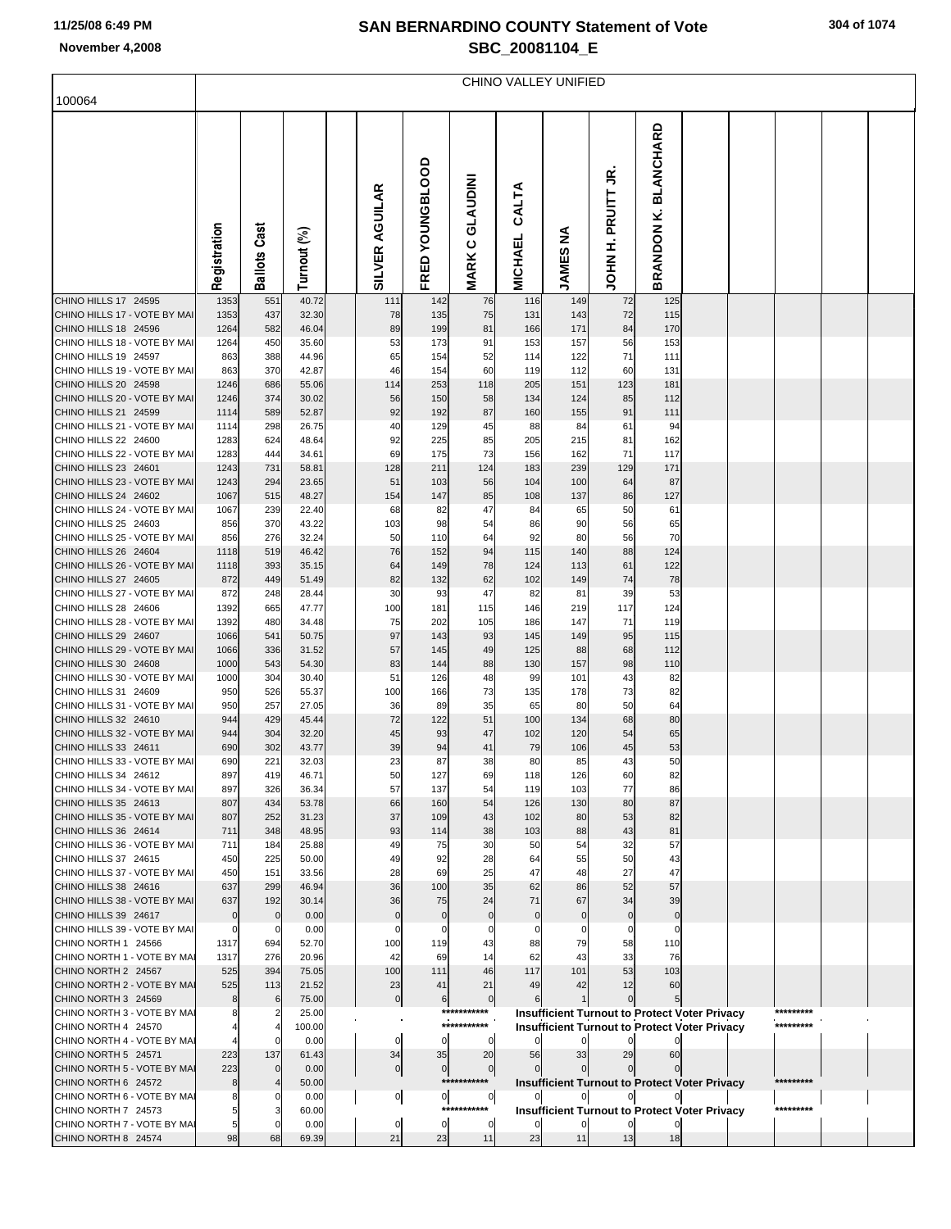|                                                      | CHINO VALLEY UNIFIED |                     |                |  |                       |                   |                                                         |                         |                   |                         |                                                      |  |  |           |  |  |
|------------------------------------------------------|----------------------|---------------------|----------------|--|-----------------------|-------------------|---------------------------------------------------------|-------------------------|-------------------|-------------------------|------------------------------------------------------|--|--|-----------|--|--|
| 100064                                               |                      |                     |                |  |                       |                   |                                                         |                         |                   |                         |                                                      |  |  |           |  |  |
|                                                      | Registration         | <b>Ballots Cast</b> | Turnout (%)    |  | <b>SILVER AGUILAR</b> | FRED YOUNGBLOOD   | <b>GLAUDINI</b><br>$\mathbf{\mathsf{C}}$<br><b>MARK</b> | CALTA<br><b>MICHAEL</b> | ≨<br><b>JAMES</b> | Š<br>PRUITT<br>Í<br>HOL | <b>BLANCHARD</b><br>نح<br>BRANDON                    |  |  |           |  |  |
| CHINO HILLS 17 24595                                 | 1353                 | 551                 | 40.72          |  | 111                   | 142               | 76                                                      | 116                     | 149               | 72                      | 125                                                  |  |  |           |  |  |
| CHINO HILLS 17 - VOTE BY MAI<br>CHINO HILLS 18 24596 | 1353<br>1264         | 437<br>582          | 32.30<br>46.04 |  | 78<br>89              | 135<br>199        | 75<br>81                                                | 131<br>166              | 143<br>171        | 72<br>84                | 115<br>170                                           |  |  |           |  |  |
| CHINO HILLS 18 - VOTE BY MAI                         | 1264                 | 450                 | 35.60          |  | 53                    | 173               | 91                                                      | 153                     | 157               | 56                      | 153                                                  |  |  |           |  |  |
| CHINO HILLS 19 24597                                 | 863                  | 388                 | 44.96          |  | 65                    | 154               | 52                                                      | 114                     | 122               | 71                      | 111                                                  |  |  |           |  |  |
| CHINO HILLS 19 - VOTE BY MAI<br>CHINO HILLS 20 24598 | 863<br>1246          | 370<br>686          | 42.87<br>55.06 |  | 46<br>114             | 154<br>253        | 60<br>118                                               | 119<br>205              | 112<br>151        | 60<br>123               | 131<br>181                                           |  |  |           |  |  |
| CHINO HILLS 20 - VOTE BY MAI                         | 1246                 | 374                 | 30.02          |  | 56                    | 150               | 58                                                      | 134                     | 124               | 85                      | 112                                                  |  |  |           |  |  |
| CHINO HILLS 21 24599                                 | 1114                 | 589                 | 52.87          |  | 92                    | 192               | 87                                                      | 160                     | 155               | 91                      | 111                                                  |  |  |           |  |  |
| CHINO HILLS 21 - VOTE BY MAI                         | 1114                 | 298                 | 26.75          |  | 40                    | 129               | 45                                                      | 88                      | 84                | 61                      | 94                                                   |  |  |           |  |  |
| CHINO HILLS 22 24600<br>CHINO HILLS 22 - VOTE BY MAI | 1283<br>1283         | 624<br>444          | 48.64<br>34.61 |  | 92<br>69              | 225<br>175        | 85<br>73                                                | 205<br>156              | 215<br>162        | 81<br>71                | 162<br>117                                           |  |  |           |  |  |
| CHINO HILLS 23 24601                                 | 1243                 | 731                 | 58.81          |  | 128                   | 211               | 124                                                     | 183                     | 239               | 129                     | 171                                                  |  |  |           |  |  |
| CHINO HILLS 23 - VOTE BY MAI                         | 1243                 | 294                 | 23.65          |  | 51                    | 103               | 56                                                      | 104                     | 100               | 64                      | 87                                                   |  |  |           |  |  |
| CHINO HILLS 24 24602                                 | 1067                 | 515                 | 48.27          |  | 154                   | 147               | 85                                                      | 108                     | 137               | 86                      | 127                                                  |  |  |           |  |  |
| CHINO HILLS 24 - VOTE BY MAI                         | 1067                 | 239                 | 22.40          |  | 68                    | 82                | 47                                                      | 84                      | 65                | 50                      | 61                                                   |  |  |           |  |  |
| CHINO HILLS 25 24603<br>CHINO HILLS 25 - VOTE BY MAI | 856<br>856           | 370<br>276          | 43.22<br>32.24 |  | 103<br>50             | 98<br>110         | 54<br>64                                                | 86<br>92                | 90<br>80          | 56<br>56                | 65<br>70                                             |  |  |           |  |  |
| CHINO HILLS 26 24604                                 | 1118                 | 519                 | 46.42          |  | 76                    | 152               | 94                                                      | 115                     | 140               | 88                      | 124                                                  |  |  |           |  |  |
| CHINO HILLS 26 - VOTE BY MAI                         | 1118                 | 393                 | 35.15          |  | 64                    | 149               | 78                                                      | 124                     | 113               | 61                      | 122                                                  |  |  |           |  |  |
| CHINO HILLS 27 24605                                 | 872                  | 449                 | 51.49          |  | 82                    | 132               | 62                                                      | 102                     | 149               | 74                      | 78                                                   |  |  |           |  |  |
| CHINO HILLS 27 - VOTE BY MAI<br>CHINO HILLS 28 24606 | 872<br>1392          | 248<br>665          | 28.44<br>47.77 |  | 30<br>100             | 93<br>181         | 47<br>115                                               | 82<br>146               | 81<br>219         | 39<br>117               | 53<br>124                                            |  |  |           |  |  |
| CHINO HILLS 28 - VOTE BY MAI                         | 1392                 | 480                 | 34.48          |  | 75                    | 202               | 105                                                     | 186                     | 147               | 71                      | 119                                                  |  |  |           |  |  |
| CHINO HILLS 29 24607                                 | 1066                 | 541                 | 50.75          |  | 97                    | 143               | 93                                                      | 145                     | 149               | 95                      | 115                                                  |  |  |           |  |  |
| CHINO HILLS 29 - VOTE BY MAI                         | 1066                 | 336                 | 31.52          |  | 57                    | 145               | 49                                                      | 125                     | 88                | 68                      | 112                                                  |  |  |           |  |  |
| CHINO HILLS 30 24608<br>CHINO HILLS 30 - VOTE BY MAI | 1000<br>1000         | 543<br>304          | 54.30<br>30.40 |  | 83<br>51              | 144<br>126        | 88<br>48                                                | 130<br>99               | 157<br>101        | 98<br>43                | 110<br>82                                            |  |  |           |  |  |
| CHINO HILLS 31 24609                                 | 950                  | 526                 | 55.37          |  | 100                   | 166               | 73                                                      | 135                     | 178               | 73                      | 82                                                   |  |  |           |  |  |
| CHINO HILLS 31 - VOTE BY MAI                         | 950                  | 257                 | 27.05          |  | 36                    | 89                | 35                                                      | 65                      | 80                | 50                      | 64                                                   |  |  |           |  |  |
| CHINO HILLS 32 24610                                 | 944                  | 429                 | 45.44          |  | 72                    | 122               | 51                                                      | 100                     | 134               | 68                      | 80                                                   |  |  |           |  |  |
| CHINO HILLS 32 - VOTE BY MAI                         | 944                  | 304                 | 32.20          |  | 45                    | 93                | 47                                                      | 102                     | 120               | 54                      | 65                                                   |  |  |           |  |  |
| CHINO HILLS 33 24611<br>CHINO HILLS 33 - VOTE BY MAI | 690<br>690           | 302<br>221          | 43.77<br>32.03 |  | 39<br>23              | 94<br>87          | 41<br>38                                                | 79<br>80                | 106<br>85         | 45<br>43                | 53<br>50                                             |  |  |           |  |  |
| CHINO HILLS 34 24612                                 | 897                  | 419                 | 46.71          |  | 50                    | 127               | 69                                                      | 118                     | 126               | 60                      | 82                                                   |  |  |           |  |  |
| CHINO HILLS 34 - VOTE BY MAI                         | 897                  | 326                 | 36.34          |  | 57                    | 137               | 54                                                      | 119                     | 103               | 77                      | 86                                                   |  |  |           |  |  |
| CHINO HILLS 35 24613                                 | 807                  | 434                 | 53.78          |  | 66                    | 160               | 54                                                      | 126                     | 130               | 80                      | 87                                                   |  |  |           |  |  |
| CHINO HILLS 35 - VOTE BY MAI<br>CHINO HILLS 36 24614 | 807<br>711           | 252<br>348          | 31.23<br>48.95 |  | 37<br>93              | 109<br>114        | 43<br>38                                                | 102<br>103              | 80<br>88          | 53<br>43                | 82<br>81                                             |  |  |           |  |  |
| CHINO HILLS 36 - VOTE BY MAI                         | 711                  | 184                 | 25.88          |  | 49                    | 75                | 30                                                      | 50                      | 54                | 32                      | 57                                                   |  |  |           |  |  |
| CHINO HILLS 37 24615                                 | 450                  | 225                 | 50.00          |  | 49                    | 92                | 28                                                      | 64                      | 55                | 50                      | 43                                                   |  |  |           |  |  |
| CHINO HILLS 37 - VOTE BY MAI                         | 450                  | 151                 | 33.56          |  | 28                    | 69                | 25                                                      | 47                      | 48                | 27                      | 47                                                   |  |  |           |  |  |
| CHINO HILLS 38 24616<br>CHINO HILLS 38 - VOTE BY MAI | 637<br>637           | 299<br>192          | 46.94<br>30.14 |  | 36<br>36              | 100<br>75         | 35<br>24                                                | 62<br>71                | 86<br>67          | 52<br>34                | 57<br>39                                             |  |  |           |  |  |
| CHINO HILLS 39 24617                                 | 0                    | $\mathbf 0$         | 0.00           |  | $\mathbf 0$           | $\mathbf 0$       | $\mathbf 0$                                             | $\Omega$                | $\mathbf{0}$      | $\mathbf 0$             | $\mathbf 0$                                          |  |  |           |  |  |
| CHINO HILLS 39 - VOTE BY MAI                         | $\Omega$             | C.                  | 0.00           |  | $\mathsf{C}$          | C                 |                                                         |                         |                   | 0                       | 0                                                    |  |  |           |  |  |
| CHINO NORTH 1 24566                                  | 1317                 | 694                 | 52.70          |  | 100                   | 119               | 43                                                      | 88                      | 79                | 58                      | 110                                                  |  |  |           |  |  |
| CHINO NORTH 1 - VOTE BY MA<br>CHINO NORTH 2 24567    | 1317<br>525          | 276<br>394          | 20.96<br>75.05 |  | 42<br>100             | 69<br>111         | 14<br>46                                                | 62<br>117               | 43<br>101         | 33<br>53                | 76<br>103                                            |  |  |           |  |  |
| CHINO NORTH 2 - VOTE BY MAI                          | 525                  | 113                 | 21.52          |  | 23                    | 41                | 21                                                      | 49                      | 42                | 12                      | 60                                                   |  |  |           |  |  |
| CHINO NORTH 3 24569                                  |                      | 6                   | 75.00          |  | $\overline{0}$        | 6                 | $\overline{0}$                                          | 6                       |                   |                         |                                                      |  |  |           |  |  |
| CHINO NORTH 3 - VOTE BY MAI                          |                      |                     | 25.00          |  |                       |                   | ***********                                             |                         |                   |                         | <b>Insufficient Turnout to Protect Voter Privacy</b> |  |  | ********* |  |  |
| CHINO NORTH 4 24570                                  |                      |                     | 100.00         |  |                       |                   | ***********                                             |                         |                   |                         | <b>Insufficient Turnout to Protect Voter Privacy</b> |  |  | ********* |  |  |
| CHINO NORTH 4 - VOTE BY MAI<br>CHINO NORTH 5 24571   | 223                  | 137                 | 0.00<br>61.43  |  | 0<br>34               | $\mathbf 0$<br>35 | 0<br>20                                                 | 56                      | 33                | 29                      | 60                                                   |  |  |           |  |  |
| CHINO NORTH 5 - VOTE BY MAI                          | 223                  |                     | 0.00           |  | 0                     | $\mathbf 0$       | $\overline{0}$                                          |                         |                   |                         |                                                      |  |  |           |  |  |
| CHINO NORTH 6 24572                                  | 8                    |                     | 50.00          |  |                       |                   | ***********                                             |                         |                   |                         | <b>Insufficient Turnout to Protect Voter Privacy</b> |  |  | ********* |  |  |
| CHINO NORTH 6 - VOTE BY MAI                          |                      |                     | 0.00           |  | $\circ$               | $\overline{0}$    | $\circ$                                                 |                         |                   |                         |                                                      |  |  |           |  |  |
| CHINO NORTH 7 24573<br>CHINO NORTH 7 - VOTE BY MAI   | 5<br>5               |                     | 60.00<br>0.00  |  | 0                     | 0                 | ***********<br>0                                        |                         |                   |                         | <b>Insufficient Turnout to Protect Voter Privacy</b> |  |  | ********* |  |  |
| CHINO NORTH 8 24574                                  | 98                   | 68                  | 69.39          |  | 21                    | 23                | 11                                                      | 23                      | 11                | 13                      | 18                                                   |  |  |           |  |  |